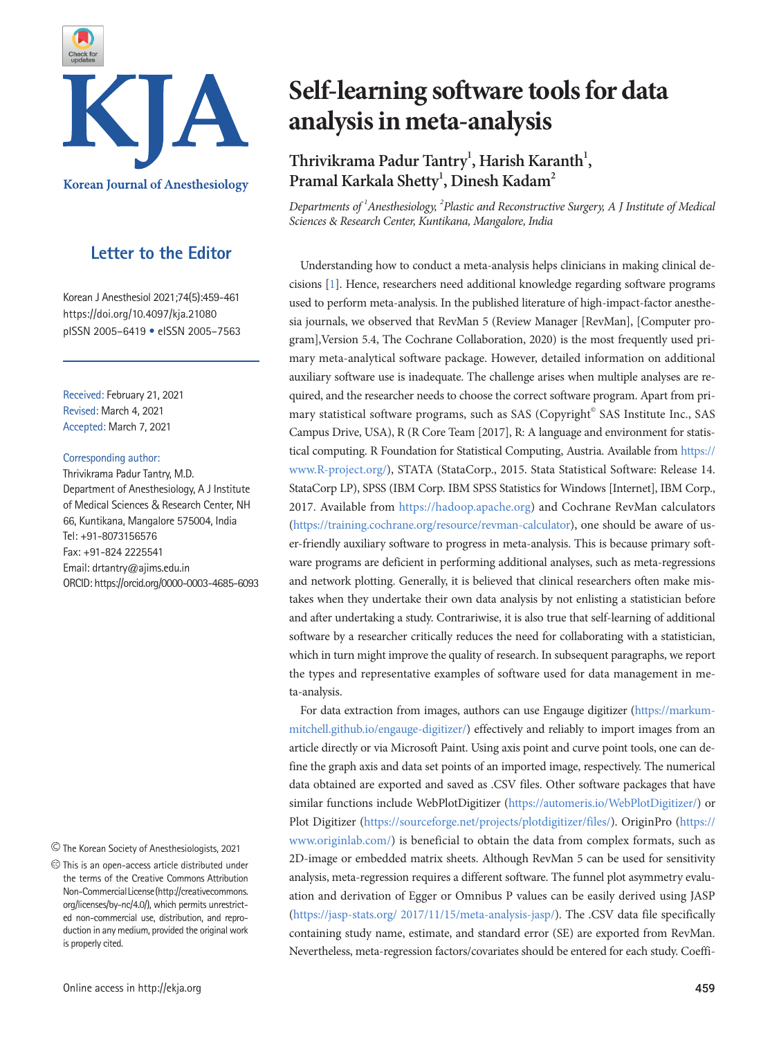

## **Letter to the Editor**

Korean J Anesthesiol 2021;74(5):459-461 https://doi.org/10.4097/kja.21080 pISSN 2005–6419 • eISSN 2005–7563

Received: February 21, 2021 Revised: March 4, 2021 Accepted: March 7, 2021

#### Corresponding author:

Thrivikrama Padur Tantry, M.D. Department of Anesthesiology, A J Institute of Medical Sciences & Research Center, NH 66, Kuntikana, Mangalore 575004, India Tel: +91-8073156576 Fax: +91-824 2225541 Email: drtantry@ajims.edu.in ORCID: https://orcid.org/0000-0003-4685-6093

The Korean Society of Anesthesiologists, 2021

This is an open-access article distributed under the terms of the Creative Commons Attribution Non-Commercial License [\(http://creativecommons.](http://creativecommons.org/licenses/by-nc/4.0/) [org/licenses/by-nc/4.0/](http://creativecommons.org/licenses/by-nc/4.0/)), which permits unrestricted non-commercial use, distribution, and reproduction in any medium, provided the original work is properly cited.

# **Self-learning software tools for data analysis in meta-analysis**

# Thrivikrama Padur Tantry<sup>1</sup>, Harish Karanth<sup>1</sup>, Pramal Karkala Shetty<sup>1</sup>, Dinesh Kadam<sup>2</sup>

*Departments of <sup>1</sup> Anesthesiology, <sup>2</sup> Plastic and Reconstructive Surgery, A J Institute of Medical Sciences & Research Center, Kuntikana, Mangalore, India*

Understanding how to conduct a meta-analysis helps clinicians in making clinical decisions [\[1](#page-2-0)]. Hence, researchers need additional knowledge regarding software programs used to perform meta-analysis. In the published literature of high-impact-factor anesthesia journals, we observed that RevMan 5 (Review Manager [RevMan], [Computer program],Version 5.4, The Cochrane Collaboration, 2020) is the most frequently used primary meta-analytical software package. However, detailed information on additional auxiliary software use is inadequate. The challenge arises when multiple analyses are required, and the researcher needs to choose the correct software program. Apart from primary statistical software programs, such as SAS (Copyright<sup>®</sup> SAS Institute Inc., SAS Campus Drive, USA), R (R Core Team [2017], R: A language and environment for statistical computing. R Foundation for Statistical Computing, Austria. Available from https:[//](https://www.r-project.org) [www.R-project.org/\)](https://www.r-project.org), STATA (StataCorp., 2015. Stata Statistical Software: Release 14. StataCorp LP), SPSS (IBM Corp. IBM SPSS Statistics for Windows [Internet], IBM Corp., 2017. Available from [https://hadoop.apache.org\)](https://hadoop.apache.org/) and Cochrane RevMan calculators [\(https://training.cochrane.org/resource/revman-calculator](https://training.cochrane.org/resource/revman-calculator)), one should be aware of user-friendly auxiliary software to progress in meta-analysis. This is because primary software programs are deficient in performing additional analyses, such as meta-regressions and network plotting. Generally, it is believed that clinical researchers often make mistakes when they undertake their own data analysis by not enlisting a statistician before and after undertaking a study. Contrariwise, it is also true that self-learning of additional software by a researcher critically reduces the need for collaborating with a statistician, which in turn might improve the quality of research. In subsequent paragraphs, we report the types and representative examples of software used for data management in meta-analysis.

For data extraction from images, authors can use Engauge digitizer ([https://markum](https://markummitchell.github.io/engauge-digitizer/)[mitchell.github.io/engauge-digitizer/\)](https://markummitchell.github.io/engauge-digitizer/) effectively and reliably to import images from an article directly or via Microsoft Paint. Using axis point and curve point tools, one can define the graph axis and data set points of an imported image, respectively. The numerical data obtained are exported and saved as .CSV files. Other software packages that have similar functions include WebPlotDigitizer (<https://automeris.io/WebPlotDigitizer/>) or Plot Digitizer [\(https://sourceforge.net/projects/plotdigitizer/files/\)](https://sourceforge.net/projects/plotdigitizer/files/). OriginPro (https:// [www.originlab.com/\) is beneficial to obtain the data fr](https://www.originlab.com)om complex formats, such as 2D-image or embedded matrix sheets. Although RevMan 5 can be used for sensitivity analysis, meta-regression requires a different software. The funnel plot asymmetry evaluation and derivation of Egger or Omnibus P values can be easily derived using JASP [\(https://jasp-stats.org/ 2017/11/15/meta-analysis-jasp/](https://jasp-stats.org/2017/11/15/meta-analysis-jasp/)). The .CSV data file specifically containing study name, estimate, and standard error (SE) are exported from RevMan. Nevertheless, meta-regression factors/covariates should be entered for each study. Coeffi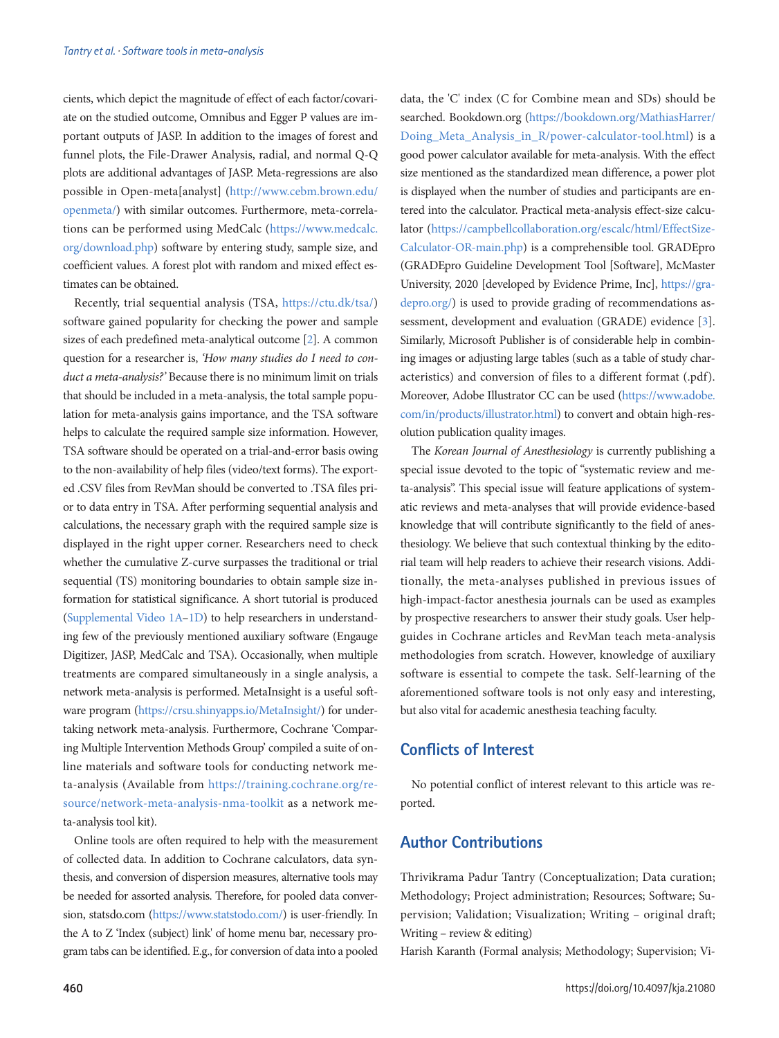cients, which depict the magnitude of effect of each factor/covariate on the studied outcome, Omnibus and Egger P values are important outputs of JASP. In addition to the images of forest and funnel plots, the File-Drawer Analysis, radial, and normal Q-Q plots are additional advantages of JASP. Meta-regressions are also possible in Open-meta[analyst] ([http://www.cebm.brown.edu/](http://www.cebm.brown.edu/openmeta/) [openmeta/\)](http://www.cebm.brown.edu/openmeta/) with similar outcomes. Furthermore, meta-correlations can be performed using MedCalc (https://[www.medcalc.](https://www.medcalc.org/download.php) [org/download.php](https://www.medcalc.org/download.php)) software by entering study, sample size, and coefficient values. A forest plot with random and mixed effect estimates can be obtained.

Recently, trial sequential analysis (TSA, [https://ctu.dk/tsa/\)](https://ctu.dk/tsa/) software gained popularity for checking the power and sample sizes of each predefined meta-analytical outcome [[2](#page-2-1)]. A common question for a researcher is, *'How many studies do I need to conduct a meta-analysis?'* Because there is no minimum limit on trials that should be included in a meta-analysis, the total sample population for meta-analysis gains importance, and the TSA software helps to calculate the required sample size information. However, TSA software should be operated on a trial-and-error basis owing to the non-availability of help files (video/text forms). The exported .CSV files from RevMan should be converted to .TSA files prior to data entry in TSA. After performing sequential analysis and calculations, the necessary graph with the required sample size is displayed in the right upper corner. Researchers need to check whether the cumulative Z-curve surpasses the traditional or trial sequential (TS) monitoring boundaries to obtain sample size information for statistical significance. A short tutorial is produced [\(Supplemental Video 1A–1D](#page-2-2)) to help researchers in understanding few of the previously mentioned auxiliary software (Engauge Digitizer, JASP, MedCalc and TSA). Occasionally, when multiple treatments are compared simultaneously in a single analysis, a network meta-analysis is performed. MetaInsight is a useful software program (<https://crsu.shinyapps.io/MetaInsight/>) for undertaking network meta-analysis. Furthermore, Cochrane 'Comparing Multiple Intervention Methods Group' compiled a suite of online materials and software tools for conducting network meta-analysis (Available from [https://training.cochrane.org/re](https://training.cochrane.org/resource/network-meta-analysis-nma-toolkit)[source/network-meta-analysis-nma-toolkit](https://training.cochrane.org/resource/network-meta-analysis-nma-toolkit) as a network meta-analysis tool kit).

Online tools are often required to help with the measurement of collected data. In addition to Cochrane calculators, data synthesis, and conversion of dispersion measures, alternative tools may be needed for assorted analysis. Therefore, for pooled data conversion, statsdo.com (https://[www.statstodo.com/](https://www.statstodo.com)) is user-friendly. In the A to Z 'Index (subject) link' of home menu bar, necessary program tabs can be identified. E.g., for conversion of data into a pooled

data, the 'C' index (C for Combine mean and SDs) should be searched. Bookdown.org ([https://bookdown.org/MathiasHarrer/](https://bookdown.org/MathiasHarrer/Doing_Meta_Analysis_in_R/power-calculator-tool.html) [Doing\\_Meta\\_Analysis\\_in\\_R/power-calculator-tool.html](https://bookdown.org/MathiasHarrer/Doing_Meta_Analysis_in_R/power-calculator-tool.html)) is a good power calculator available for meta-analysis. With the effect size mentioned as the standardized mean difference, a power plot is displayed when the number of studies and participants are entered into the calculator. Practical meta-analysis effect-size calculator ([https://campbellcollaboration.org/escalc/html/EffectSize-](https://campbellcollaboration.org/escalc/html/EffectSizeCalculator-OR-main.php)[Calculator-OR-main.php\)](https://campbellcollaboration.org/escalc/html/EffectSizeCalculator-OR-main.php) is a comprehensible tool. GRADEpro (GRADEpro Guideline Development Tool [Software], McMaster University, 2020 [developed by Evidence Prime, Inc], [https://gra](https://gradepro.org)[depro.org/\)](https://gradepro.org) is used to provide grading of recommendations assessment, development and evaluation (GRADE) evidence [\[3\]](#page-2-3). Similarly, Microsoft Publisher is of considerable help in combining images or adjusting large tables (such as a table of study characteristics) and conversion of files to a different format (.pdf). Moreover, Adobe Illustrator CC can be used (https:[//www.adobe.](https://www.adobe.com/in/products/illustrator.html) [com/in/products/illustrator.html\)](https://www.adobe.com/in/products/illustrator.html) to convert and obtain high-resolution publication quality images.

The *Korean Journal of Anesthesiology* is currently publishing a special issue devoted to the topic of "systematic review and meta-analysis". This special issue will feature applications of systematic reviews and meta-analyses that will provide evidence-based knowledge that will contribute significantly to the field of anesthesiology. We believe that such contextual thinking by the editorial team will help readers to achieve their research visions. Additionally, the meta-analyses published in previous issues of high-impact-factor anesthesia journals can be used as examples by prospective researchers to answer their study goals. User helpguides in Cochrane articles and RevMan teach meta-analysis methodologies from scratch. However, knowledge of auxiliary software is essential to compete the task. Self-learning of the aforementioned software tools is not only easy and interesting, but also vital for academic anesthesia teaching faculty.

#### **Conflicts of Interest**

No potential conflict of interest relevant to this article was reported.

#### **Author Contributions**

Thrivikrama Padur Tantry (Conceptualization; Data curation; Methodology; Project administration; Resources; Software; Supervision; Validation; Visualization; Writing – original draft; Writing – review & editing)

Harish Karanth (Formal analysis; Methodology; Supervision; Vi-